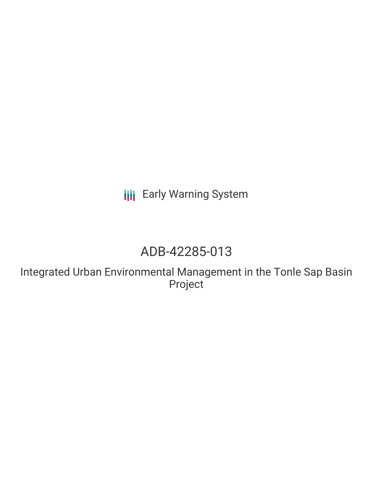**III** Early Warning System

# ADB-42285-013

Integrated Urban Environmental Management in the Tonle Sap Basin Project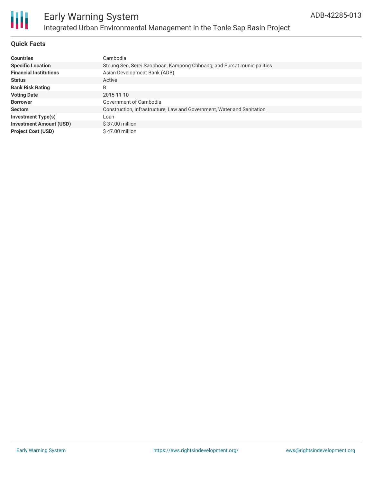

### Early Warning System Integrated Urban Environmental Management in the Tonle Sap Basin Project

#### **Quick Facts**

| <b>Countries</b>               | Cambodia                                                               |
|--------------------------------|------------------------------------------------------------------------|
| <b>Specific Location</b>       | Steung Sen, Serei Saophoan, Kampong Chhnang, and Pursat municipalities |
| <b>Financial Institutions</b>  | Asian Development Bank (ADB)                                           |
| <b>Status</b>                  | Active                                                                 |
| <b>Bank Risk Rating</b>        | B                                                                      |
| <b>Voting Date</b>             | 2015-11-10                                                             |
| <b>Borrower</b>                | Government of Cambodia                                                 |
| <b>Sectors</b>                 | Construction, Infrastructure, Law and Government, Water and Sanitation |
| <b>Investment Type(s)</b>      | Loan                                                                   |
| <b>Investment Amount (USD)</b> | \$37.00 million                                                        |
| <b>Project Cost (USD)</b>      | \$47.00 million                                                        |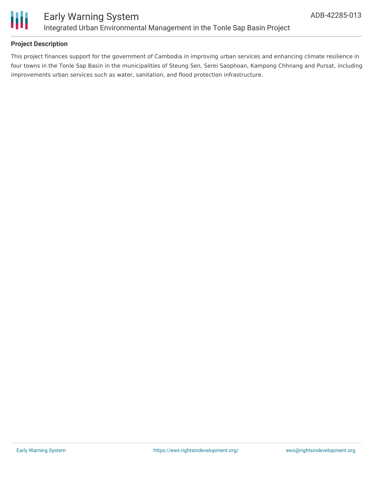

#### **Project Description**

This project finances support for the government of Cambodia in improving urban services and enhancing climate resilience in four towns in the Tonle Sap Basin in the municipalities of Steung Sen, Serei Saophoan, Kampong Chhnang and Pursat, including improvements urban services such as water, sanitation, and flood protection infrastructure.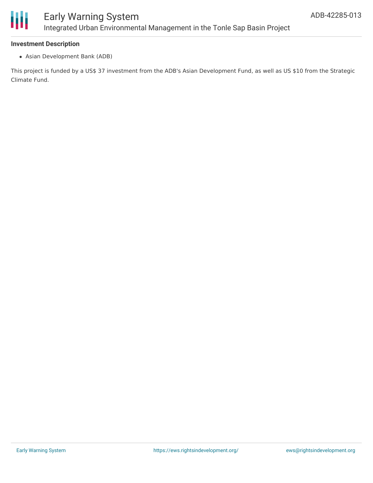

#### **Investment Description**

Asian Development Bank (ADB)

This project is funded by a US\$ 37 investment from the ADB's Asian Development Fund, as well as US \$10 from the Strategic Climate Fund.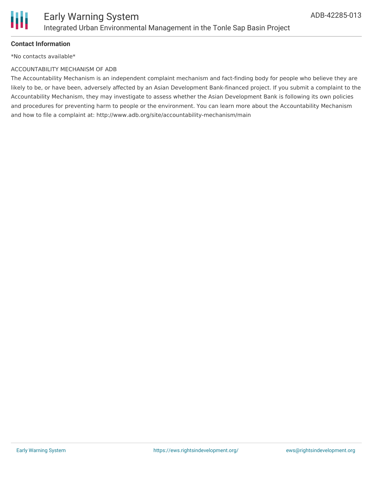

#### **Contact Information**

\*No contacts available\*

#### ACCOUNTABILITY MECHANISM OF ADB

The Accountability Mechanism is an independent complaint mechanism and fact-finding body for people who believe they are likely to be, or have been, adversely affected by an Asian Development Bank-financed project. If you submit a complaint to the Accountability Mechanism, they may investigate to assess whether the Asian Development Bank is following its own policies and procedures for preventing harm to people or the environment. You can learn more about the Accountability Mechanism and how to file a complaint at: http://www.adb.org/site/accountability-mechanism/main